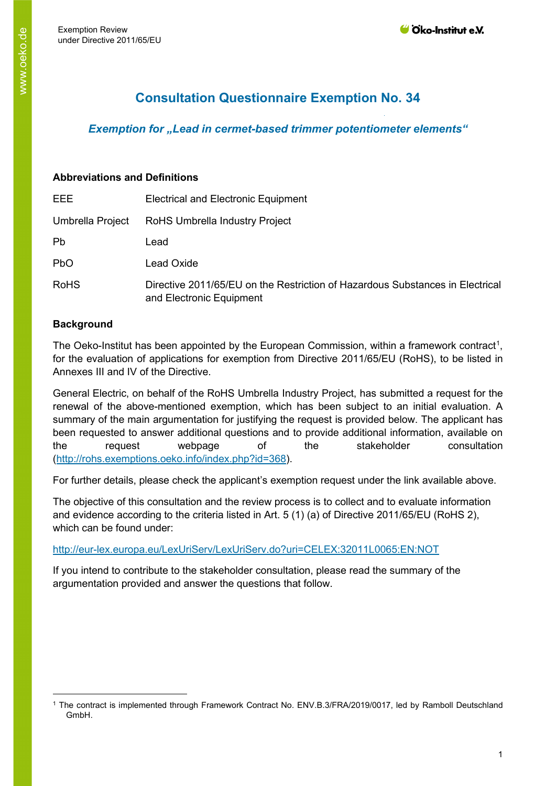# **Consultation Questionnaire Exemption No. 34**

# *Exemption for "Lead in cermet-based trimmer potentiometer elements"*

#### **Abbreviations and Definitions**

| EEE              | <b>Electrical and Electronic Equipment</b>                                                                |
|------------------|-----------------------------------------------------------------------------------------------------------|
| Umbrella Project | RoHS Umbrella Industry Project                                                                            |
| Pb               | Lead                                                                                                      |
| <b>PbO</b>       | Lead Oxide                                                                                                |
| <b>RoHS</b>      | Directive 2011/65/EU on the Restriction of Hazardous Substances in Electrical<br>and Electronic Equipment |

## **Background**

The Oeko-Institut has been appointed by the European Commission, within a framework contract<sup>[1](#page-0-0)</sup>, for the evaluation of applications for exemption from Directive 2011/65/EU (RoHS), to be listed in Annexes III and IV of the Directive.

General Electric, on behalf of the RoHS Umbrella Industry Project, has submitted a request for the renewal of the above-mentioned exemption, which has been subject to an initial evaluation. A summary of the main argumentation for justifying the request is provided below. The applicant has been requested to answer additional questions and to provide additional information, available on the request webpage of the stakeholder consultation [\(http://rohs.exemptions.oeko.info/index.php?id=368](http://rohs.exemptions.oeko.info/index.php?id=368)).

For further details, please check the applicant's exemption request under the link available above.

The objective of this consultation and the review process is to collect and to evaluate information and evidence according to the criteria listed in Art. 5 (1) (a) of Directive 2011/65/EU (RoHS 2), which can be found under:

#### <http://eur-lex.europa.eu/LexUriServ/LexUriServ.do?uri=CELEX:32011L0065:EN:NOT>

If you intend to contribute to the stakeholder consultation, please read the summary of the argumentation provided and answer the questions that follow.

<span id="page-0-0"></span><sup>1</sup> The contract is implemented through Framework Contract No. ENV.B.3/FRA/2019/0017, led by Ramboll Deutschland GmbH.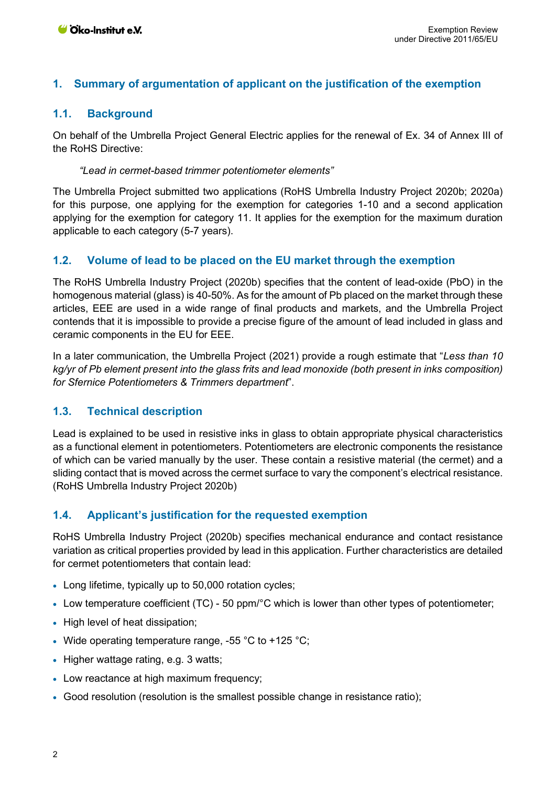## **1. Summary of argumentation of applicant on the justification of the exemption**

## **1.1. Background**

On behalf of the Umbrella Project General Electric applies for the renewal of Ex. 34 of Annex III of the RoHS Directive:

#### *"Lead in cermet-based trimmer potentiometer elements"*

The Umbrella Project submitted two applications (RoHS Umbrella Industry Project 2020b; 2020a) for this purpose, one applying for the exemption for categories 1-10 and a second application applying for the exemption for category 11. It applies for the exemption for the maximum duration applicable to each category (5-7 years).

## **1.2. Volume of lead to be placed on the EU market through the exemption**

The RoHS Umbrella Industry Project (2020b) specifies that the content of lead-oxide (PbO) in the homogenous material (glass) is 40-50%. As for the amount of Pb placed on the market through these articles, EEE are used in a wide range of final products and markets, and the Umbrella Project contends that it is impossible to provide a precise figure of the amount of lead included in glass and ceramic components in the EU for EEE.

In a later communication, the Umbrella Project (2021) provide a rough estimate that "*Less than 10 kg/yr of Pb element present into the glass frits and lead monoxide (both present in inks composition) for Sfernice Potentiometers & Trimmers department*".

## **1.3. Technical description**

Lead is explained to be used in resistive inks in glass to obtain appropriate physical characteristics as a functional element in potentiometers. Potentiometers are electronic components the resistance of which can be varied manually by the user. These contain a resistive material (the cermet) and a sliding contact that is moved across the cermet surface to vary the component's electrical resistance. (RoHS Umbrella Industry Project 2020b)

## <span id="page-1-0"></span>**1.4. Applicant's justification for the requested exemption**

RoHS Umbrella Industry Project (2020b) specifies mechanical endurance and contact resistance variation as critical properties provided by lead in this application. Further characteristics are detailed for cermet potentiometers that contain lead:

- Long lifetime, typically up to 50,000 rotation cycles;
- Low temperature coefficient (TC) 50 ppm/°C which is lower than other types of potentiometer;
- High level of heat dissipation;
- Wide operating temperature range, -55 °C to +125 °C;
- Higher wattage rating, e.g. 3 watts:
- Low reactance at high maximum frequency;
- Good resolution (resolution is the smallest possible change in resistance ratio);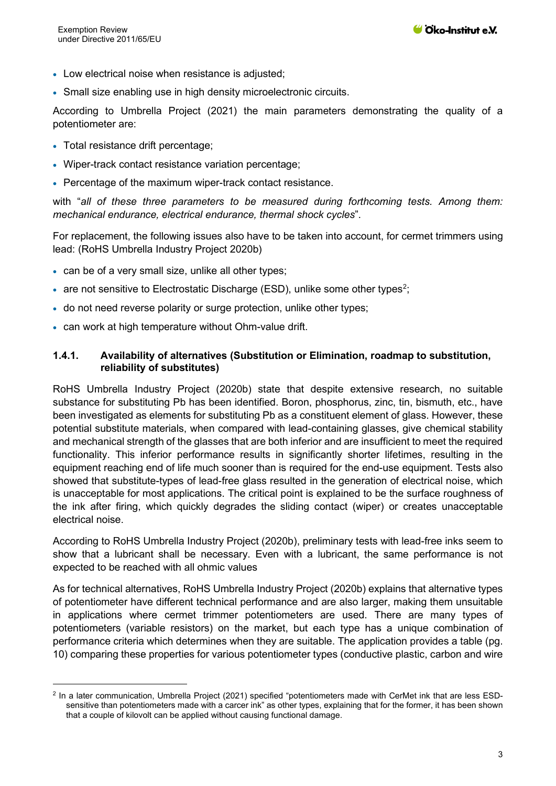- Low electrical noise when resistance is adjusted:
- Small size enabling use in high density microelectronic circuits.

According to Umbrella Project (2021) the main parameters demonstrating the quality of a potentiometer are:

- Total resistance drift percentage;
- Wiper-track contact resistance variation percentage;
- Percentage of the maximum wiper-track contact resistance.

with "*all of these three parameters to be measured during forthcoming tests. Among them: mechanical endurance, electrical endurance, thermal shock cycles*".

For replacement, the following issues also have to be taken into account, for cermet trimmers using lead: (RoHS Umbrella Industry Project 2020b)

- can be of a very small size, unlike all other types;
- are not sensitive to Electrostatic Discharge (ESD), unlike some other types<sup>[2](#page-2-0)</sup>;
- do not need reverse polarity or surge protection, unlike other types;
- can work at high temperature without Ohm-value drift.

#### **1.4.1. Availability of alternatives (Substitution or Elimination, roadmap to substitution, reliability of substitutes)**

RoHS Umbrella Industry Project (2020b) state that despite extensive research, no suitable substance for substituting Pb has been identified. Boron, phosphorus, zinc, tin, bismuth, etc., have been investigated as elements for substituting Pb as a constituent element of glass. However, these potential substitute materials, when compared with lead-containing glasses, give chemical stability and mechanical strength of the glasses that are both inferior and are insufficient to meet the required functionality. This inferior performance results in significantly shorter lifetimes, resulting in the equipment reaching end of life much sooner than is required for the end-use equipment. Tests also showed that substitute-types of lead-free glass resulted in the generation of electrical noise, which is unacceptable for most applications. The critical point is explained to be the surface roughness of the ink after firing, which quickly degrades the sliding contact (wiper) or creates unacceptable electrical noise.

According to RoHS Umbrella Industry Project (2020b), preliminary tests with lead-free inks seem to show that a lubricant shall be necessary. Even with a lubricant, the same performance is not expected to be reached with all ohmic values

As for technical alternatives, RoHS Umbrella Industry Project (2020b) explains that alternative types of potentiometer have different technical performance and are also larger, making them unsuitable in applications where cermet trimmer potentiometers are used. There are many types of potentiometers (variable resistors) on the market, but each type has a unique combination of performance criteria which determines when they are suitable. The application provides a table (pg. 10) comparing these properties for various potentiometer types (conductive plastic, carbon and wire

<span id="page-2-0"></span><sup>2</sup> In a later communication, Umbrella Project (2021) specified "potentiometers made with CerMet ink that are less ESDsensitive than potentiometers made with a carcer ink" as other types, explaining that for the former, it has been shown that a couple of kilovolt can be applied without causing functional damage.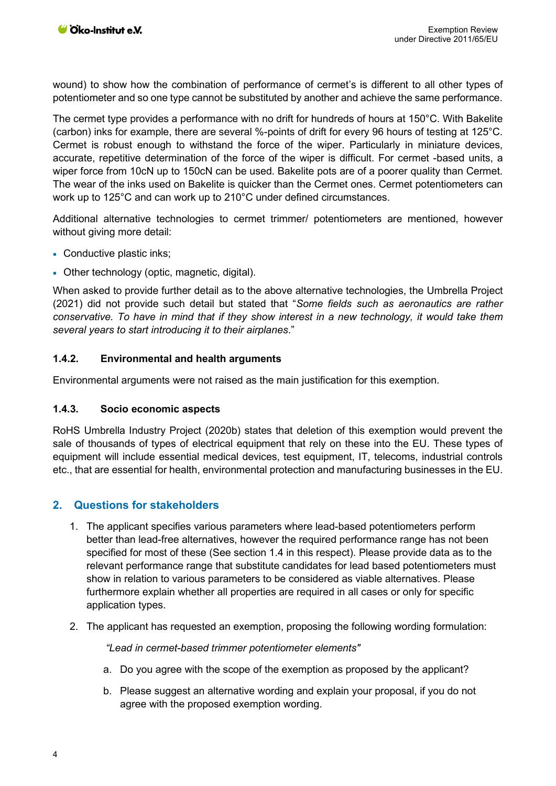wound) to show how the combination of performance of cermet's is different to all other types of potentiometer and so one type cannot be substituted by another and achieve the same performance.

The cermet type provides a performance with no drift for hundreds of hours at 150°C. With Bakelite (carbon) inks for example, there are several %-points of drift for every 96 hours of testing at 125°C. Cermet is robust enough to withstand the force of the wiper. Particularly in miniature devices, accurate, repetitive determination of the force of the wiper is difficult. For cermet -based units, a wiper force from 10cN up to 150cN can be used. Bakelite pots are of a poorer quality than Cermet. The wear of the inks used on Bakelite is quicker than the Cermet ones. Cermet potentiometers can work up to 125°C and can work up to 210°C under defined circumstances.

Additional alternative technologies to cermet trimmer/ potentiometers are mentioned, however without giving more detail:

- Conductive plastic inks;
- Other technology (optic, magnetic, digital).

When asked to provide further detail as to the above alternative technologies, the Umbrella Project (2021) did not provide such detail but stated that "*Some fields such as aeronautics are rather conservative. To have in mind that if they show interest in a new technology, it would take them several years to start introducing it to their airplanes*."

#### **1.4.2. Environmental and health arguments**

Environmental arguments were not raised as the main justification for this exemption.

#### **1.4.3. Socio economic aspects**

RoHS Umbrella Industry Project (2020b) states that deletion of this exemption would prevent the sale of thousands of types of electrical equipment that rely on these into the EU. These types of equipment will include essential medical devices, test equipment, IT, telecoms, industrial controls etc., that are essential for health, environmental protection and manufacturing businesses in the EU.

## **2. Questions for stakeholders**

- 1. The applicant specifies various parameters where lead-based potentiometers perform better than lead-free alternatives, however the required performance range has not been specified for most of these (See section [1.4](#page-1-0) in this respect). Please provide data as to the relevant performance range that substitute candidates for lead based potentiometers must show in relation to various parameters to be considered as viable alternatives. Please furthermore explain whether all properties are required in all cases or only for specific application types.
- 2. The applicant has requested an exemption, proposing the following wording formulation:

*"Lead in cermet-based trimmer potentiometer elements"* 

- a. Do you agree with the scope of the exemption as proposed by the applicant?
- b. Please suggest an alternative wording and explain your proposal, if you do not agree with the proposed exemption wording.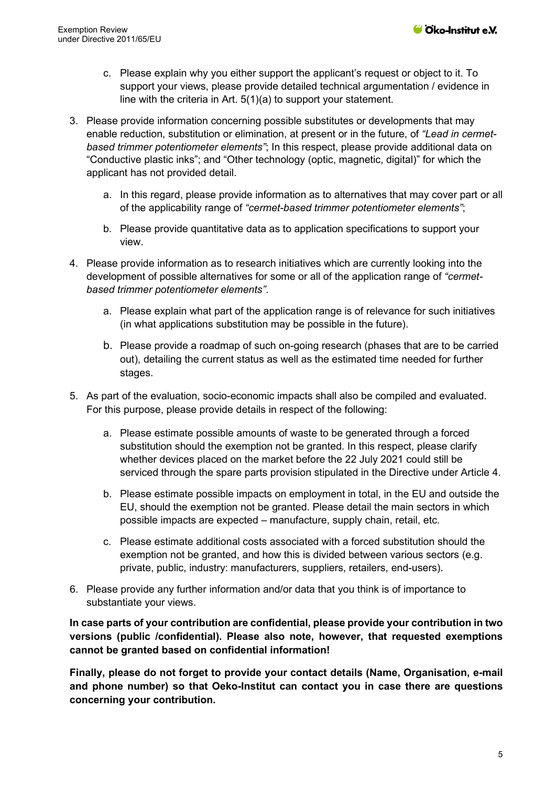- c. Please explain why you either support the applicant's request or object to it. To support your views, please provide detailed technical argumentation / evidence in line with the criteria in Art. 5(1)(a) to support your statement.
- 3. Please provide information concerning possible substitutes or developments that may enable reduction, substitution or elimination, at present or in the future, of *"Lead in cermetbased trimmer potentiometer elements"*; In this respect, please provide additional data on "Conductive plastic inks"; and "Other technology (optic, magnetic, digital)" for which the applicant has not provided detail.
	- a. In this regard, please provide information as to alternatives that may cover part or all of the applicability range of *"cermet-based trimmer potentiometer elements"*;
	- b. Please provide quantitative data as to application specifications to support your view.
- 4. Please provide information as to research initiatives which are currently looking into the development of possible alternatives for some or all of the application range of *"cermetbased trimmer potentiometer elements"*.
	- a. Please explain what part of the application range is of relevance for such initiatives (in what applications substitution may be possible in the future).
	- b. Please provide a roadmap of such on-going research (phases that are to be carried out), detailing the current status as well as the estimated time needed for further stages.
- 5. As part of the evaluation, socio-economic impacts shall also be compiled and evaluated. For this purpose, please provide details in respect of the following:
	- a. Please estimate possible amounts of waste to be generated through a forced substitution should the exemption not be granted. In this respect, please clarify whether devices placed on the market before the 22 July 2021 could still be serviced through the spare parts provision stipulated in the Directive under Article 4.
	- b. Please estimate possible impacts on employment in total, in the EU and outside the EU, should the exemption not be granted. Please detail the main sectors in which possible impacts are expected – manufacture, supply chain, retail, etc.
	- c. Please estimate additional costs associated with a forced substitution should the exemption not be granted, and how this is divided between various sectors (e.g. private, public, industry: manufacturers, suppliers, retailers, end-users).
- 6. Please provide any further information and/or data that you think is of importance to substantiate your views.

**In case parts of your contribution are confidential, please provide your contribution in two versions (public /confidential). Please also note, however, that requested exemptions cannot be granted based on confidential information!**

**Finally, please do not forget to provide your contact details (Name, Organisation, e-mail and phone number) so that Oeko-Institut can contact you in case there are questions concerning your contribution.**